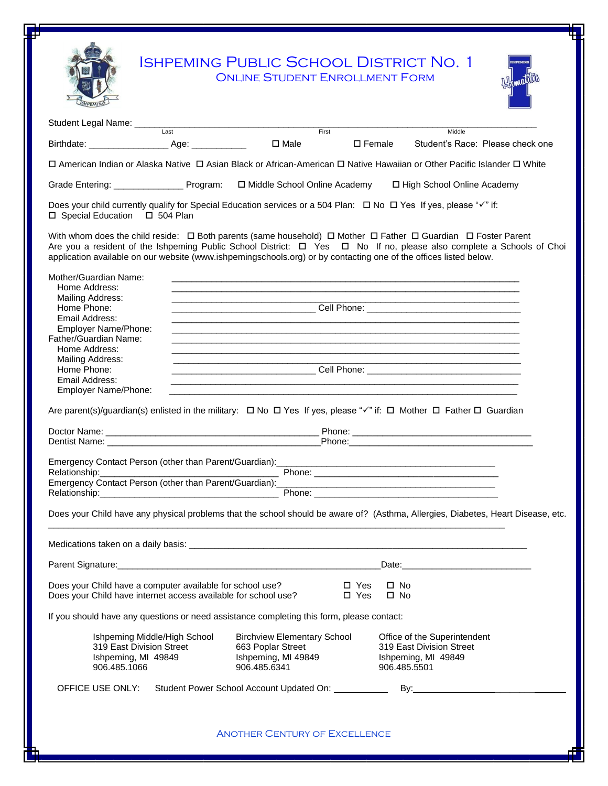|                                                                                                                                                                                                                                |                              | <b>ONLINE STUDENT ENROLLMENT FORM</b>                                                                                                                                                                                                |                             | <b>ISHPEMING PUBLIC SCHOOL DISTRICT NO. 1</b>                                                                                                                                                                                                                                                                                                                                       |                                  |
|--------------------------------------------------------------------------------------------------------------------------------------------------------------------------------------------------------------------------------|------------------------------|--------------------------------------------------------------------------------------------------------------------------------------------------------------------------------------------------------------------------------------|-----------------------------|-------------------------------------------------------------------------------------------------------------------------------------------------------------------------------------------------------------------------------------------------------------------------------------------------------------------------------------------------------------------------------------|----------------------------------|
| Student Legal Name: Last Contract Contract Contract Contract Contract Contract Contract Contract Contract Contract Contract Contract Contract Contract Contract Contract Contract Contract Contract Contract Contract Contract |                              |                                                                                                                                                                                                                                      |                             | Middle                                                                                                                                                                                                                                                                                                                                                                              |                                  |
|                                                                                                                                                                                                                                |                              |                                                                                                                                                                                                                                      |                             |                                                                                                                                                                                                                                                                                                                                                                                     | Student's Race: Please check one |
|                                                                                                                                                                                                                                |                              |                                                                                                                                                                                                                                      |                             | □ American Indian or Alaska Native □ Asian Black or African-American □ Native Hawaiian or Other Pacific Islander □ White                                                                                                                                                                                                                                                            |                                  |
| Grade Entering: ______________________ Program: $\Box$ Middle School Online Academy                                                                                                                                            |                              |                                                                                                                                                                                                                                      |                             | □ High School Online Academy                                                                                                                                                                                                                                                                                                                                                        |                                  |
| □ Special Education □ 504 Plan                                                                                                                                                                                                 |                              |                                                                                                                                                                                                                                      |                             |                                                                                                                                                                                                                                                                                                                                                                                     |                                  |
|                                                                                                                                                                                                                                |                              |                                                                                                                                                                                                                                      |                             | With whom does the child reside: $\Box$ Both parents (same household) $\Box$ Mother $\Box$ Father $\Box$ Guardian $\Box$ Foster Parent<br>Are you a resident of the Ishpeming Public School District: □ Yes □ No If no, please also complete a Schools of Choi<br>application available on our website (www.ishpemingschools.org) or by contacting one of the offices listed below. |                                  |
| Mother/Guardian Name:<br>Home Address:                                                                                                                                                                                         |                              |                                                                                                                                                                                                                                      |                             | <u> 1989 - Johann Stoff, amerikansk politiker (* 1908)</u>                                                                                                                                                                                                                                                                                                                          |                                  |
| Mailing Address:<br>Home Phone:                                                                                                                                                                                                |                              | <u> 1940 - Johann Johann Harry Harry Harry Harry Harry Harry Harry Harry Harry Harry Harry Harry Harry Harry Harry Harry Harry Harry Harry Harry Harry Harry Harry Harry Harry Harry Harry Harry Harry Harry Harry Harry Harry H</u> |                             | <u> 1989 - Johann John Stone, mars eta biztanleria (h. 1989).</u><br><b>Cell Phone: Cell Phone: Cell Phone: Cell Phone: Cell Phone: Cell Phone: Cell Phone: Cell Phone: Cell Phone: Cell Phone: Cell Phone: Cell Phone: Cell Phone: Cell Phone: Cell Phone: Cell Phone:</b>                                                                                                         |                                  |
| Email Address:<br>Employer Name/Phone:                                                                                                                                                                                         |                              |                                                                                                                                                                                                                                      |                             |                                                                                                                                                                                                                                                                                                                                                                                     |                                  |
| Father/Guardian Name:                                                                                                                                                                                                          |                              |                                                                                                                                                                                                                                      |                             |                                                                                                                                                                                                                                                                                                                                                                                     |                                  |
| Home Address:<br>Mailing Address:                                                                                                                                                                                              |                              | <u> 1989 - Johann Stein, mars an deus Amerikaansk kommunister (</u>                                                                                                                                                                  |                             | the control of the control of the control of the control of the control of the control of                                                                                                                                                                                                                                                                                           |                                  |
| Home Phone:                                                                                                                                                                                                                    |                              |                                                                                                                                                                                                                                      |                             | ___________________________________Cell Phone: _________________________________                                                                                                                                                                                                                                                                                                    |                                  |
| Email Address:<br>Employer Name/Phone:                                                                                                                                                                                         |                              | <u> 1989 - Johann Stein, mars an deutscher Stein († 1989)</u>                                                                                                                                                                        |                             | <u> 2000 - 2000 - 2000 - 2000 - 2000 - 2000 - 2000 - 2000 - 2000 - 2000 - 2000 - 2000 - 2000 - 2000 - 2000 - 200</u>                                                                                                                                                                                                                                                                |                                  |
|                                                                                                                                                                                                                                |                              |                                                                                                                                                                                                                                      |                             | Are parent(s)/guardian(s) enlisted in the military: $\Box$ No $\Box$ Yes If yes, please " $\checkmark$ " if: $\Box$ Mother $\Box$ Father $\Box$ Guardian                                                                                                                                                                                                                            |                                  |
|                                                                                                                                                                                                                                |                              |                                                                                                                                                                                                                                      |                             |                                                                                                                                                                                                                                                                                                                                                                                     |                                  |
|                                                                                                                                                                                                                                |                              |                                                                                                                                                                                                                                      |                             |                                                                                                                                                                                                                                                                                                                                                                                     |                                  |
|                                                                                                                                                                                                                                |                              |                                                                                                                                                                                                                                      |                             |                                                                                                                                                                                                                                                                                                                                                                                     |                                  |
| Relationship:_______________                                                                                                                                                                                                   |                              |                                                                                                                                                                                                                                      |                             |                                                                                                                                                                                                                                                                                                                                                                                     |                                  |
|                                                                                                                                                                                                                                |                              |                                                                                                                                                                                                                                      |                             |                                                                                                                                                                                                                                                                                                                                                                                     |                                  |
|                                                                                                                                                                                                                                |                              |                                                                                                                                                                                                                                      |                             | Does your Child have any physical problems that the school should be aware of? (Asthma, Allergies, Diabetes, Heart Disease, etc.                                                                                                                                                                                                                                                    |                                  |
|                                                                                                                                                                                                                                |                              |                                                                                                                                                                                                                                      |                             |                                                                                                                                                                                                                                                                                                                                                                                     |                                  |
| Parent Signature: with the control of the control of the control of the control of the control of the control of the control of the control of the control of the control of the control of the control of the control of the  |                              |                                                                                                                                                                                                                                      |                             |                                                                                                                                                                                                                                                                                                                                                                                     |                                  |
| Does your Child have a computer available for school use?<br>Does your Child have internet access available for school use?                                                                                                    |                              |                                                                                                                                                                                                                                      | $\square$ Yes<br>□ Yes □ No | $\square$ No                                                                                                                                                                                                                                                                                                                                                                        |                                  |
| If you should have any questions or need assistance completing this form, please contact:                                                                                                                                      |                              |                                                                                                                                                                                                                                      |                             |                                                                                                                                                                                                                                                                                                                                                                                     |                                  |
|                                                                                                                                                                                                                                | Ishpeming Middle/High School | <b>Birchview Elementary School</b>                                                                                                                                                                                                   |                             | Office of the Superintendent                                                                                                                                                                                                                                                                                                                                                        |                                  |
|                                                                                                                                                                                                                                | 319 East Division Street     | 663 Poplar Street                                                                                                                                                                                                                    |                             | 319 East Division Street                                                                                                                                                                                                                                                                                                                                                            |                                  |
| Ishpeming, MI 49849<br>906.485.1066                                                                                                                                                                                            |                              | Ishpeming, MI 49849<br>906.485.6341                                                                                                                                                                                                  |                             | Ishpeming, MI 49849<br>906.485.5501                                                                                                                                                                                                                                                                                                                                                 |                                  |
| OFFICE USE ONLY:                                                                                                                                                                                                               |                              | Student Power School Account Updated On: ___________                                                                                                                                                                                 |                             |                                                                                                                                                                                                                                                                                                                                                                                     |                                  |
|                                                                                                                                                                                                                                |                              | <b>ANOTHER CENTURY OF EXCELLENCE</b>                                                                                                                                                                                                 |                             |                                                                                                                                                                                                                                                                                                                                                                                     |                                  |